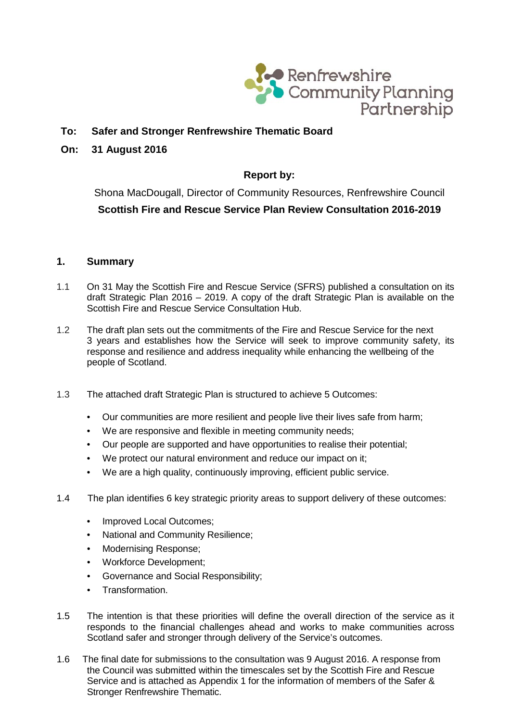

# **To: Safer and Stronger Renfrewshire Thematic Board**

## **On: 31 August 2016**

# **Report by:**

Shona MacDougall, Director of Community Resources, Renfrewshire Council **Scottish Fire and Rescue Service Plan Review Consultation 2016-2019**

## **1. Summary**

- 1.1 On 31 May the Scottish Fire and Rescue Service (SFRS) published a consultation on its draft Strategic Plan 2016 – 2019. A copy of the draft Strategic Plan is available on the Scottish Fire and Rescue Service Consultation Hub.
- 1.2 The draft plan sets out the commitments of the Fire and Rescue Service for the next 3 years and establishes how the Service will seek to improve community safety, its response and resilience and address inequality while enhancing the wellbeing of the people of Scotland.
- 1.3 The attached draft Strategic Plan is structured to achieve 5 Outcomes:
	- Our communities are more resilient and people live their lives safe from harm;
	- We are responsive and flexible in meeting community needs;
	- Our people are supported and have opportunities to realise their potential;
	- We protect our natural environment and reduce our impact on it;
	- We are a high quality, continuously improving, efficient public service.
- 1.4 The plan identifies 6 key strategic priority areas to support delivery of these outcomes:
	- Improved Local Outcomes:
	- National and Community Resilience;
	- Modernising Response;
	- Workforce Development;
	- Governance and Social Responsibility;
	- Transformation.
- 1.5 The intention is that these priorities will define the overall direction of the service as it responds to the financial challenges ahead and works to make communities across Scotland safer and stronger through delivery of the Service's outcomes.
- 1.6 The final date for submissions to the consultation was 9 August 2016. A response from the Council was submitted within the timescales set by the Scottish Fire and Rescue Service and is attached as Appendix 1 for the information of members of the Safer & Stronger Renfrewshire Thematic.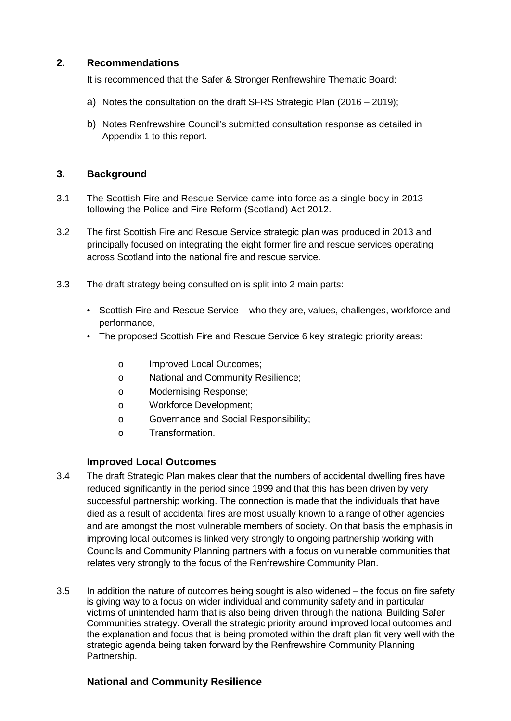## **2. Recommendations**

It is recommended that the Safer & Stronger Renfrewshire Thematic Board:

- a) Notes the consultation on the draft SFRS Strategic Plan (2016 2019);
- b) Notes Renfrewshire Council's submitted consultation response as detailed in Appendix 1 to this report.

## **3. Background**

- 3.1 The Scottish Fire and Rescue Service came into force as a single body in 2013 following the Police and Fire Reform (Scotland) Act 2012.
- 3.2 The first Scottish Fire and Rescue Service strategic plan was produced in 2013 and principally focused on integrating the eight former fire and rescue services operating across Scotland into the national fire and rescue service.
- 3.3 The draft strategy being consulted on is split into 2 main parts:
	- Scottish Fire and Rescue Service who they are, values, challenges, workforce and performance,
	- The proposed Scottish Fire and Rescue Service 6 key strategic priority areas:
		- o Improved Local Outcomes;
		- o National and Community Resilience;
		- o Modernising Response;
		- o Workforce Development;
		- o Governance and Social Responsibility;
		- o Transformation.

## **Improved Local Outcomes**

- 3.4 The draft Strategic Plan makes clear that the numbers of accidental dwelling fires have reduced significantly in the period since 1999 and that this has been driven by very successful partnership working. The connection is made that the individuals that have died as a result of accidental fires are most usually known to a range of other agencies and are amongst the most vulnerable members of society. On that basis the emphasis in improving local outcomes is linked very strongly to ongoing partnership working with Councils and Community Planning partners with a focus on vulnerable communities that relates very strongly to the focus of the Renfrewshire Community Plan.
- 3.5 In addition the nature of outcomes being sought is also widened the focus on fire safety is giving way to a focus on wider individual and community safety and in particular victims of unintended harm that is also being driven through the national Building Safer Communities strategy. Overall the strategic priority around improved local outcomes and the explanation and focus that is being promoted within the draft plan fit very well with the strategic agenda being taken forward by the Renfrewshire Community Planning Partnership.

## **National and Community Resilience**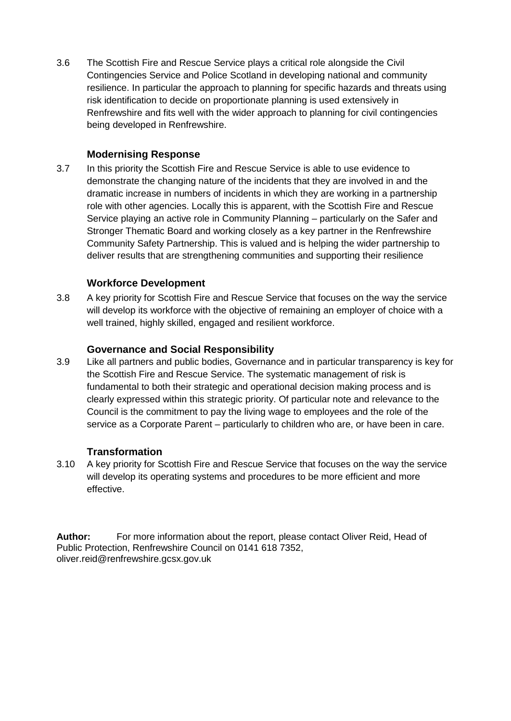3.6 The Scottish Fire and Rescue Service plays a critical role alongside the Civil Contingencies Service and Police Scotland in developing national and community resilience. In particular the approach to planning for specific hazards and threats using risk identification to decide on proportionate planning is used extensively in Renfrewshire and fits well with the wider approach to planning for civil contingencies being developed in Renfrewshire.

# **Modernising Response**

3.7 In this priority the Scottish Fire and Rescue Service is able to use evidence to demonstrate the changing nature of the incidents that they are involved in and the dramatic increase in numbers of incidents in which they are working in a partnership role with other agencies. Locally this is apparent, with the Scottish Fire and Rescue Service playing an active role in Community Planning – particularly on the Safer and Stronger Thematic Board and working closely as a key partner in the Renfrewshire Community Safety Partnership. This is valued and is helping the wider partnership to deliver results that are strengthening communities and supporting their resilience

# **Workforce Development**

3.8 A key priority for Scottish Fire and Rescue Service that focuses on the way the service will develop its workforce with the objective of remaining an employer of choice with a well trained, highly skilled, engaged and resilient workforce.

## **Governance and Social Responsibility**

3.9 Like all partners and public bodies, Governance and in particular transparency is key for the Scottish Fire and Rescue Service. The systematic management of risk is fundamental to both their strategic and operational decision making process and is clearly expressed within this strategic priority. Of particular note and relevance to the Council is the commitment to pay the living wage to employees and the role of the service as a Corporate Parent – particularly to children who are, or have been in care.

## **Transformation**

3.10 A key priority for Scottish Fire and Rescue Service that focuses on the way the service will develop its operating systems and procedures to be more efficient and more effective.

**Author:** For more information about the report, please contact Oliver Reid, Head of Public Protection, Renfrewshire Council on 0141 618 7352, [oliver.reid@renfrewshire.gcsx.gov.uk](mailto:oliver.reid@renfrewshire.gcsx.gov.uk)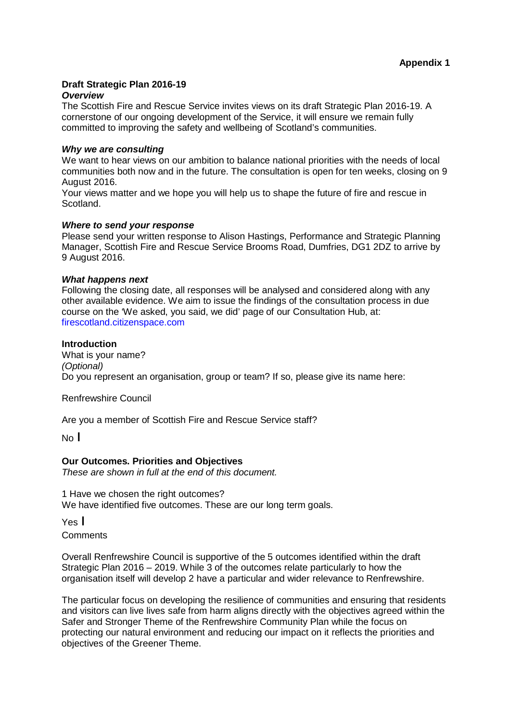# **Draft Strategic Plan 2016-19**

### *Overview*

The Scottish Fire and Rescue Service invites views on its draft Strategic Plan 2016-19. A cornerstone of our ongoing development of the Service, it will ensure we remain fully committed to improving the safety and wellbeing of Scotland's communities.

#### *Why we are consulting*

We want to hear views on our ambition to balance national priorities with the needs of local communities both now and in the future. The consultation is open for ten weeks, closing on 9 August 2016.

Your views matter and we hope you will help us to shape the future of fire and rescue in Scotland.

#### *Where to send your response*

Please send your written response to Alison Hastings, Performance and Strategic Planning Manager, Scottish Fire and Rescue Service Brooms Road, Dumfries, DG1 2DZ to arrive by 9 August 2016.

#### *What happens next*

Following the closing date, all responses will be analysed and considered along with any other available evidence. We aim to issue the findings of the consultation process in due course on the 'We asked, you said, we did' page of our Consultation Hub, at: firescotland.citizenspace.com

### **Introduction**

What is your name? *(Optional)* Do you represent an organisation, group or team? If so, please give its name here:

Renfrewshire Council

Are you a member of Scottish Fire and Rescue Service staff?

 $No<sub>1</sub>$ 

### **Our Outcomes. Priorities and Objectives**

*These are shown in full at the end of this document.*

1 Have we chosen the right outcomes? We have identified five outcomes. These are our long term goals.

 $Yes$ 

**Comments** 

Overall Renfrewshire Council is supportive of the 5 outcomes identified within the draft Strategic Plan 2016 – 2019. While 3 of the outcomes relate particularly to how the organisation itself will develop 2 have a particular and wider relevance to Renfrewshire.

The particular focus on developing the resilience of communities and ensuring that residents and visitors can live lives safe from harm aligns directly with the objectives agreed within the Safer and Stronger Theme of the Renfrewshire Community Plan while the focus on protecting our natural environment and reducing our impact on it reflects the priorities and objectives of the Greener Theme.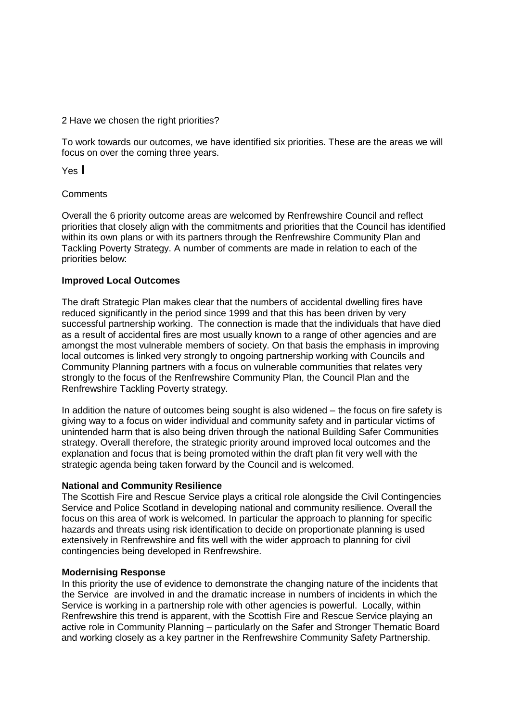#### 2 Have we chosen the right priorities?

To work towards our outcomes, we have identified six priorities. These are the areas we will focus on over the coming three years.

Yes I

### **Comments**

Overall the 6 priority outcome areas are welcomed by Renfrewshire Council and reflect priorities that closely align with the commitments and priorities that the Council has identified within its own plans or with its partners through the Renfrewshire Community Plan and Tackling Poverty Strategy. A number of comments are made in relation to each of the priorities below:

#### **Improved Local Outcomes**

The draft Strategic Plan makes clear that the numbers of accidental dwelling fires have reduced significantly in the period since 1999 and that this has been driven by very successful partnership working. The connection is made that the individuals that have died as a result of accidental fires are most usually known to a range of other agencies and are amongst the most vulnerable members of society. On that basis the emphasis in improving local outcomes is linked very strongly to ongoing partnership working with Councils and Community Planning partners with a focus on vulnerable communities that relates very strongly to the focus of the Renfrewshire Community Plan, the Council Plan and the Renfrewshire Tackling Poverty strategy.

In addition the nature of outcomes being sought is also widened – the focus on fire safety is giving way to a focus on wider individual and community safety and in particular victims of unintended harm that is also being driven through the national Building Safer Communities strategy. Overall therefore, the strategic priority around improved local outcomes and the explanation and focus that is being promoted within the draft plan fit very well with the strategic agenda being taken forward by the Council and is welcomed.

#### **National and Community Resilience**

The Scottish Fire and Rescue Service plays a critical role alongside the Civil Contingencies Service and Police Scotland in developing national and community resilience. Overall the focus on this area of work is welcomed. In particular the approach to planning for specific hazards and threats using risk identification to decide on proportionate planning is used extensively in Renfrewshire and fits well with the wider approach to planning for civil contingencies being developed in Renfrewshire.

#### **Modernising Response**

In this priority the use of evidence to demonstrate the changing nature of the incidents that the Service are involved in and the dramatic increase in numbers of incidents in which the Service is working in a partnership role with other agencies is powerful. Locally, within Renfrewshire this trend is apparent, with the Scottish Fire and Rescue Service playing an active role in Community Planning – particularly on the Safer and Stronger Thematic Board and working closely as a key partner in the Renfrewshire Community Safety Partnership.